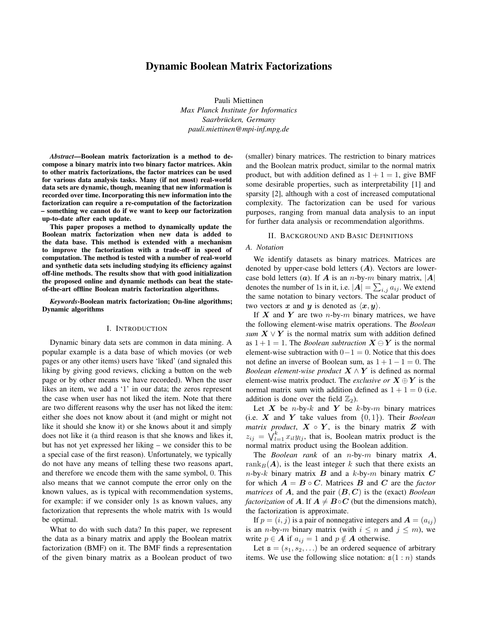# Dynamic Boolean Matrix Factorizations

Pauli Miettinen *Max Planck Institute for Informatics Saarbrucken, Germany ¨ pauli.miettinen@mpi-inf.mpg.de*

*Abstract*—Boolean matrix factorization is a method to decompose a binary matrix into two binary factor matrices. Akin to other matrix factorizations, the factor matrices can be used for various data analysis tasks. Many (if not most) real-world data sets are dynamic, though, meaning that new information is recorded over time. Incorporating this new information into the factorization can require a re-computation of the factorization – something we cannot do if we want to keep our factorization up-to-date after each update.

This paper proposes a method to dynamically update the Boolean matrix factorization when new data is added to the data base. This method is extended with a mechanism to improve the factorization with a trade-off in speed of computation. The method is tested with a number of real-world and synthetic data sets including studying its efficiency against off-line methods. The results show that with good initialization the proposed online and dynamic methods can beat the stateof-the-art offline Boolean matrix factorization algorithms.

*Keywords*-Boolean matrix factorization; On-line algorithms; Dynamic algorithms

#### I. INTRODUCTION

Dynamic binary data sets are common in data mining. A popular example is a data base of which movies (or web pages or any other items) users have 'liked' (and signaled this liking by giving good reviews, clicking a button on the web page or by other means we have recorded). When the user likes an item, we add a '1' in our data; the zeros represent the case when user has not liked the item. Note that there are two different reasons why the user has not liked the item: either she does not know about it (and might or might not like it should she know it) or she knows about it and simply does not like it (a third reason is that she knows and likes it, but has not yet expressed her liking – we consider this to be a special case of the first reason). Unfortunately, we typically do not have any means of telling these two reasons apart, and therefore we encode them with the same symbol, 0. This also means that we cannot compute the error only on the known values, as is typical with recommendation systems, for example: if we consider only 1s as known values, any factorization that represents the whole matrix with 1s would be optimal.

What to do with such data? In this paper, we represent the data as a binary matrix and apply the Boolean matrix factorization (BMF) on it. The BMF finds a representation of the given binary matrix as a Boolean product of two (smaller) binary matrices. The restriction to binary matrices and the Boolean matrix product, similar to the normal matrix product, but with addition defined as  $1 + 1 = 1$ , give BMF some desirable properties, such as interpretability [1] and sparsity [2], although with a cost of increased computational complexity. The factorization can be used for various purposes, ranging from manual data analysis to an input for further data analysis or recommendation algorithms.

### II. BACKGROUND AND BASIC DEFINITIONS

### *A. Notation*

We identify datasets as binary matrices. Matrices are denoted by upper-case bold letters  $(A)$ . Vectors are lowercase bold letters (a). If A is an *n*-by-*m* binary matrix,  $|A|$ denotes the number of 1s in it, i.e.  $|\boldsymbol{A}| = \sum_{i,j} a_{ij}$ . We extend the same notation to binary vectors. The scalar product of two vectors x and y is denoted as  $\langle x, y \rangle$ .

If  $X$  and  $Y$  are two *n*-by-*m* binary matrices, we have the following element-wise matrix operations. The *Boolean sum*  $X \vee Y$  is the normal matrix sum with addition defined as  $1+1=1$ . The *Boolean subtraction*  $X \ominus Y$  is the normal element-wise subtraction with  $0-1=0$ . Notice that this does not define an inverse of Boolean sum, as  $1+1-1=0$ . The *Boolean element-wise product*  $X \wedge Y$  is defined as normal element-wise matrix product. The *exclusive or*  $X \oplus Y$  is the normal matrix sum with addition defined as  $1 + 1 = 0$  (i.e. addition is done over the field  $\mathbb{Z}_2$ ).

Let  $X$  be *n*-by- $k$  and  $Y$  be  $k$ -by- $m$  binary matrices (i.e.  $X$  and  $Y$  take values from  $\{0, 1\}$ ). Their *Boolean matrix product*,  $X \circ Y$ , is the binary matrix Z with  $z_{ij} = \bigvee_{l=1}^{k} x_{il}y_{lj}$ , that is, Boolean matrix product is the normal matrix product using the Boolean addition.

The *Boolean rank* of an n-by-m binary matrix A, rank<sub>B</sub>( $A$ ), is the least integer k such that there exists an  $n$ -by-k binary matrix **B** and a k-by-m binary matrix **C** for which  $A = B \circ C$ . Matrices B and C are the *factor matrices* of A, and the pair (B, C) is the (exact) *Boolean factorization* of **A**. If  $A \neq B \circ C$  (but the dimensions match), the factorization is approximate.

If  $p = (i, j)$  is a pair of nonnegative integers and  $\mathbf{A} = (a_{ij})$ is an *n*-by-*m* binary matrix (with  $i \leq n$  and  $j \leq m$ ), we write  $p \in A$  if  $a_{ij} = 1$  and  $p \notin A$  otherwise.

Let  $s = (s_1, s_2, \ldots)$  be an ordered sequence of arbitrary items. We use the following slice notation:  $s(1:n)$  stands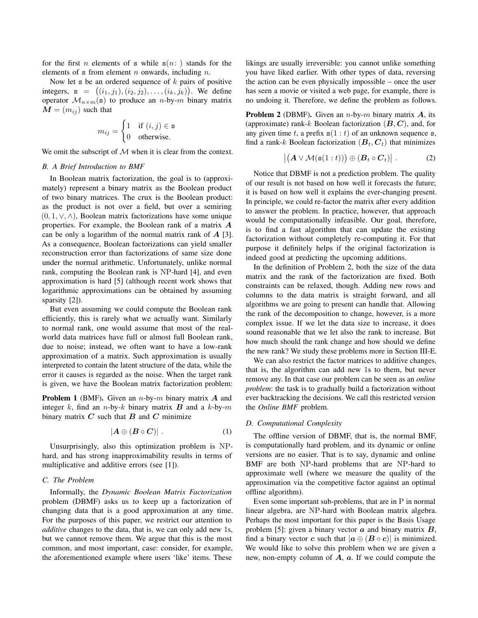for the first *n* elements of **s** while  $s(n: )$  stands for the elements of  $s$  from element  $n$  onwards, including  $n$ .

Now let s be an ordered sequence of  $k$  pairs of positive integers,  $\mathbf{s} = ((i_1, j_1), (i_2, j_2), \dots, (i_k, j_k))$ . We define operator  $\mathcal{M}_{n\times m}(\mathbf{s})$  to produce an *n*-by-*m* binary matrix  $M = (m_{ij})$  such that

$$
m_{ij} = \begin{cases} 1 & \text{if } (i,j) \in \mathbf{s} \\ 0 & \text{otherwise.} \end{cases}
$$

We omit the subscript of  $M$  when it is clear from the context.

### *B. A Brief Introduction to BMF*

In Boolean matrix factorization, the goal is to (approximately) represent a binary matrix as the Boolean product of two binary matrices. The crux is the Boolean product: as the product is not over a field, but over a semiring  $(0, 1, \vee, \wedge)$ , Boolean matrix factorizations have some unique properties. For example, the Boolean rank of a matrix A can be only a logarithm of the normal matrix rank of  $\vec{A}$  [3]. As a consequence, Boolean factorizations can yield smaller reconstruction error than factorizations of same size done under the normal arithmetic. Unfortunately, unlike normal rank, computing the Boolean rank is NP-hard [4], and even approximation is hard [5] (although recent work shows that logarithmic approximations can be obtained by assuming sparsity [2]).

But even assuming we could compute the Boolean rank efficiently, this is rarely what we actually want. Similarly to normal rank, one would assume that most of the realworld data matrices have full or almost full Boolean rank, due to noise; instead, we often want to have a low-rank approximation of a matrix. Such approximation is usually interpreted to contain the latent structure of the data, while the error it causes is regarded as the noise. When the target rank is given, we have the Boolean matrix factorization problem:

**Problem 1** (BMF). Given an *n*-by-*m* binary matrix  $\boldsymbol{A}$  and integer k, find an n-by-k binary matrix  $\bf{B}$  and a k-by-m binary matrix  $C$  such that  $B$  and  $C$  minimize

$$
|\boldsymbol{A} \oplus (\boldsymbol{B} \circ \boldsymbol{C})| \ . \tag{1}
$$

Unsurprisingly, also this optimization problem is NPhard, and has strong inapproximability results in terms of multiplicative and additive errors (see [1]).

## *C. The Problem*

Informally, the *Dynamic Boolean Matrix Factorization* problem (DBMF) asks us to keep up a factorization of changing data that is a good approximation at any time. For the purposes of this paper, we restrict our attention to *additive* changes to the data, that is, we can only add new 1s, but we cannot remove them. We argue that this is the most common, and most important, case: consider, for example, the aforementioned example where users 'like' items. These

likings are usually irreversible: you cannot unlike something you have liked earlier. With other types of data, reversing the action can be even physically impossible – once the user has seen a movie or visited a web page, for example, there is no undoing it. Therefore, we define the problem as follows.

**Problem 2** (DBMF). Given an *n*-by-*m* binary matrix  $A$ , its (approximate) rank-k Boolean factorization  $(B, C)$ , and, for any given time t, a prefix  $s(1 : t)$  of an unknown sequence s, find a rank-k Boolean factorization  $(B_t, C_t)$  that minimizes

$$
\left| \left( \boldsymbol{A} \vee \mathcal{M}(\mathbf{s}(1:t)) \right) \oplus \left( \boldsymbol{B}_t \circ \boldsymbol{C}_t \right) \right| . \tag{2}
$$

Notice that DBMF is not a prediction problem. The quality of our result is not based on how well it forecasts the future; it is based on how well it explains the ever-changing present. In principle, we could re-factor the matrix after every addition to answer the problem. In practice, however, that approach would be computationally infeasible. Our goal, therefore, is to find a fast algorithm that can update the existing factorization without completely re-computing it. For that purpose it definitely helps if the original factorization is indeed good at predicting the upcoming additions.

In the definition of Problem 2, both the size of the data matrix and the rank of the factorization are fixed. Both constraints can be relaxed, though. Adding new rows and columns to the data matrix is straight forward, and all algorithms we are going to present can handle that. Allowing the rank of the decomposition to change, however, is a more complex issue. If we let the data size to increase, it does sound reasonable that we let also the rank to increase. But how much should the rank change and how should we define the new rank? We study these problems more in Section III-E.

We can also restrict the factor matrices to additive changes, that is, the algorithm can add new 1s to them, but never remove any. In that case our problem can be seen as an *online problem*: the task is to gradually build a factorization without ever backtracking the decisions. We call this restricted version the *Online BMF* problem.

## *D. Computational Complexity*

The offline version of DBMF, that is, the normal BMF, is computationally hard problem, and its dynamic or online versions are no easier. That is to say, dynamic and online BMF are both NP-hard problems that are NP-hard to approximate well (where we measure the quality of the approximation via the competitive factor against an optimal offline algorithm).

Even some important sub-problems, that are in P in normal linear algebra, are NP-hard with Boolean matrix algebra. Perhaps the most important for this paper is the Basis Usage problem [5]: given a binary vector  $\boldsymbol{a}$  and binary matrix  $\boldsymbol{B}$ , find a binary vector c such that  $|a \oplus (B \circ c)|$  is minimized. We would like to solve this problem when we are given a new, non-empty column of  $A$ ,  $a$ . If we could compute the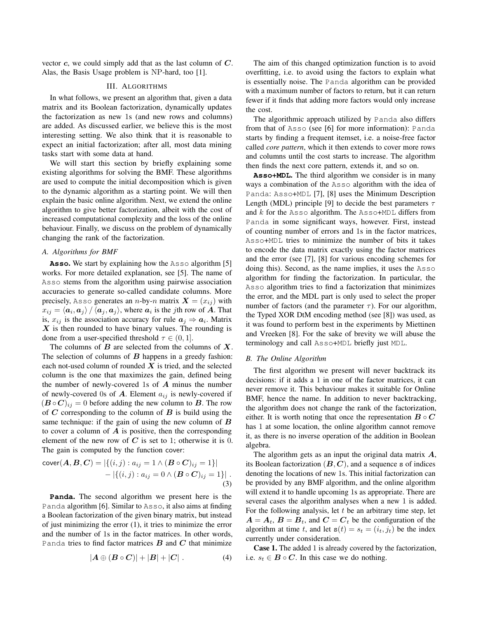vector  $c$ , we could simply add that as the last column of  $C$ . Alas, the Basis Usage problem is NP-hard, too [1].

## III. ALGORITHMS

In what follows, we present an algorithm that, given a data matrix and its Boolean factorization, dynamically updates the factorization as new 1s (and new rows and columns) are added. As discussed earlier, we believe this is the most interesting setting. We also think that it is reasonable to expect an initial factorization; after all, most data mining tasks start with some data at hand.

We will start this section by briefly explaining some existing algorithms for solving the BMF. These algorithms are used to compute the initial decomposition which is given to the dynamic algorithm as a starting point. We will then explain the basic online algorithm. Next, we extend the online algorithm to give better factorization, albeit with the cost of increased computational complexity and the loss of the online behaviour. Finally, we discuss on the problem of dynamically changing the rank of the factorization.

### *A. Algorithms for BMF*

**Asso**. We start by explaining how the Asso algorithm [5] works. For more detailed explanation, see [5]. The name of Asso stems from the algorithm using pairwise association accuracies to generate so-called candidate columns. More precisely, Asso generates an *n*-by-*n* matrix  $\mathbf{X} = (x_{ij})$  with  $x_{ij} = \langle a_i, a_j \rangle / \langle a_j, a_j \rangle$ , where  $a_i$  is the jth row of A. That is,  $x_{ij}$  is the association accuracy for rule  $a_j \Rightarrow a_i$ . Matrix  $X$  is then rounded to have binary values. The rounding is done from a user-specified threshold  $\tau \in (0, 1]$ .

The columns of  $B$  are selected from the columns of  $X$ . The selection of columns of  $B$  happens in a greedy fashion: each not-used column of rounded  $X$  is tried, and the selected column is the one that maximizes the gain, defined being the number of newly-covered 1s of  $\boldsymbol{A}$  minus the number of newly-covered 0s of  $A$ . Element  $a_{ij}$  is newly-covered if  $(B \circ C)_{ij} = 0$  before adding the new column to B. The row of  $C$  corresponding to the column of  $B$  is build using the same technique: if the gain of using the new column of  $\bm{B}$ to cover a column of  $\boldsymbol{A}$  is positive, then the corresponding element of the new row of  $C$  is set to 1; otherwise it is 0. The gain is computed by the function cover:

cover
$$
(\mathbf{A}, \mathbf{B}, \mathbf{C}) = |\{(i, j) : a_{ij} = 1 \land (\mathbf{B} \circ \mathbf{C})_{ij} = 1\}|
$$
  
-  $|\{(i, j) : a_{ij} = 0 \land (\mathbf{B} \circ \mathbf{C})_{ij} = 1\}|$ . (3)

**Panda**. The second algorithm we present here is the Panda algorithm [6]. Similar to Asso, it also aims at finding a Boolean factorization of the given binary matrix, but instead of just minimizing the error (1), it tries to minimize the error and the number of 1s in the factor matrices. In other words, Panda tries to find factor matrices  $B$  and  $C$  that minimize

$$
|A \oplus (B \circ C)| + |B| + |C| \ . \tag{4}
$$

The aim of this changed optimization function is to avoid overfitting, i.e. to avoid using the factors to explain what is essentially noise. The Panda algorithm can be provided with a maximum number of factors to return, but it can return fewer if it finds that adding more factors would only increase the cost.

The algorithmic approach utilized by Panda also differs from that of Asso (see [6] for more information): Panda starts by finding a frequent itemset, i.e. a noise-free factor called *core pattern*, which it then extends to cover more rows and columns until the cost starts to increase. The algorithm then finds the next core pattern, extends it, and so on.

**Asso**+**MDL**. The third algorithm we consider is in many ways a combination of the Asso algorithm with the idea of Panda: Asso+MDL [7], [8] uses the Minimum Description Length (MDL) principle [9] to decide the best parameters  $\tau$ and  $k$  for the Asso algorithm. The Asso+MDL differs from Panda in some significant ways, however. First, instead of counting number of errors and 1s in the factor matrices, Asso+MDL tries to minimize the number of bits it takes to encode the data matrix exactly using the factor matrices and the error (see [7], [8] for various encoding schemes for doing this). Second, as the name implies, it uses the Asso algorithm for finding the factorization. In particular, the Asso algorithm tries to find a factorization that minimizes the error, and the MDL part is only used to select the proper number of factors (and the parameter  $\tau$ ). For our algorithm, the Typed XOR DtM encoding method (see [8]) was used, as it was found to perform best in the experiments by Miettinen and Vreeken [8]. For the sake of brevity we will abuse the terminology and call Asso+MDL briefly just MDL.

### *B. The Online Algorithm*

The first algorithm we present will never backtrack its decisions: if it adds a 1 in one of the factor matrices, it can never remove it. This behaviour makes it suitable for Online BMF, hence the name. In addition to never backtracking, the algorithm does not change the rank of the factorization, either. It is worth noting that once the representation  $B \circ C$ has 1 at some location, the online algorithm cannot remove it, as there is no inverse operation of the addition in Boolean algebra.

The algorithm gets as an input the original data matrix  $\boldsymbol{A}$ , its Boolean factorization  $(B, C)$ , and a sequence s of indices denoting the locations of new 1s. This initial factorization can be provided by any BMF algorithm, and the online algorithm will extend it to handle upcoming 1s as appropriate. There are several cases the algorithm analyses when a new 1 is added. For the following analysis, let  $t$  be an arbitrary time step, let  $A = A_t$ ,  $B = B_t$ , and  $C = C_t$  be the configuration of the algorithm at time t, and let  $s(t) = s_t = (i_t, j_t)$  be the index currently under consideration.

Case 1. The added 1 is already covered by the factorization, i.e.  $s_t \in B \circ C$ . In this case we do nothing.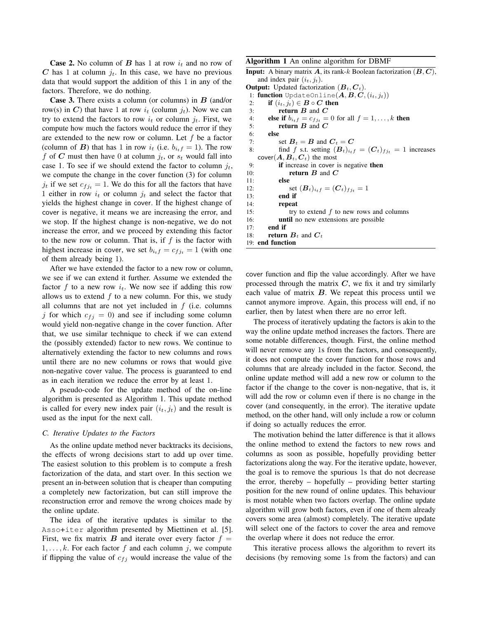**Case 2.** No column of  $B$  has 1 at row  $i_t$  and no row of C has 1 at column  $j_t$ . In this case, we have no previous data that would support the addition of this 1 in any of the factors. Therefore, we do nothing.

**Case 3.** There exists a column (or columns) in  $B$  (and/or row(s) in C) that have 1 at row  $i_t$  (column  $j_t$ ). Now we can try to extend the factors to row  $i_t$  or column  $j_t$ . First, we compute how much the factors would reduce the error if they are extended to the new row or column. Let  $f$  be a factor (column of **B**) that has 1 in row  $i_t$  (i.e.  $b_{i}$   $f = 1$ ). The row f of C must then have 0 at column  $j_t$ , or  $s_t$  would fall into case 1. To see if we should extend the factor to column  $j_t$ , we compute the change in the cover function (3) for column  $j_t$  if we set  $c_{f i_t} = 1$ . We do this for all the factors that have 1 either in row  $i_t$  or column  $j_t$  and select the factor that yields the highest change in cover. If the highest change of cover is negative, it means we are increasing the error, and we stop. If the highest change is non-negative, we do not increase the error, and we proceed by extending this factor to the new row or column. That is, if  $f$  is the factor with highest increase in cover, we set  $b_{i_t f} = c_{f i_t} = 1$  (with one of them already being 1).

After we have extended the factor to a new row or column, we see if we can extend it further. Assume we extended the factor f to a new row  $i_t$ . We now see if adding this row allows us to extend  $f$  to a new column. For this, we study all columns that are not yet included in  $f$  (i.e. columns j for which  $c_{fj} = 0$ ) and see if including some column would yield non-negative change in the cover function. After that, we use similar technique to check if we can extend the (possibly extended) factor to new rows. We continue to alternatively extending the factor to new columns and rows until there are no new columns or rows that would give non-negative cover value. The process is guaranteed to end as in each iteration we reduce the error by at least 1.

A pseudo-code for the update method of the on-line algorithm is presented as Algorithm 1. This update method is called for every new index pair  $(i_t, j_t)$  and the result is used as the input for the next call.

## *C. Iterative Updates to the Factors*

As the online update method never backtracks its decisions, the effects of wrong decisions start to add up over time. The easiest solution to this problem is to compute a fresh factorization of the data, and start over. In this section we present an in-between solution that is cheaper than computing a completely new factorization, but can still improve the reconstruction error and remove the wrong choices made by the online update.

The idea of the iterative updates is similar to the Asso+iter algorithm presented by Miettinen et al. [5]. First, we fix matrix **B** and iterate over every factor  $f =$  $1, \ldots, k$ . For each factor f and each column j, we compute if flipping the value of  $c_{fj}$  would increase the value of the Algorithm 1 An online algorithm for DBMF

```
Input: A binary matrix A, its rank-k Boolean factorization (B, C),
    and index pair (i_t, j_t).
Output: Updated factorization (B_t, C_t).
```
1: function UpdateOnline $(A, B, C, (i_t, j_t))$ 

2: if  $(i_t, j_t) \in B \circ C$  then 3: **return**  $B$  and  $C$ 4: **else if**  $b_{i_t f} = c_{f j_t} = 0$  for all  $f = 1, ..., k$  **then** 5: **return**  $B$  and  $C$ 6: else 7: set  $B_t = B$  and  $C_t = C$ 8: find f s.t. setting  $(B_t)_{i_t} = (C_t)_{f j_t} = 1$  increases cover $(A, B_t, C_t)$  the most 9: if increase in cover is negative then 10: **return**  $B$  and  $C$ 11: else 12: set  $(B_t)_{i_t f} = (C_t)_{f j_t} = 1$ <br>13: **end if** end if 14: repeat 15: try to extend  $f$  to new rows and columns 16: until no new extensions are possible 17: end if 18: **return**  $B_t$  and  $C_t$ 19: end function

cover function and flip the value accordingly. After we have processed through the matrix  $C$ , we fix it and try similarly each value of matrix  $B$ . We repeat this process until we cannot anymore improve. Again, this process will end, if no earlier, then by latest when there are no error left.

The process of iteratively updating the factors is akin to the way the online update method increases the factors. There are some notable differences, though. First, the online method will never remove any 1s from the factors, and consequently, it does not compute the cover function for those rows and columns that are already included in the factor. Second, the online update method will add a new row or column to the factor if the change to the cover is non-negative, that is, it will add the row or column even if there is no change in the cover (and consequently, in the error). The iterative update method, on the other hand, will only include a row or column if doing so actually reduces the error.

The motivation behind the latter difference is that it allows the online method to extend the factors to new rows and columns as soon as possible, hopefully providing better factorizations along the way. For the iterative update, however, the goal is to remove the spurious 1s that do not decrease the error, thereby – hopefully – providing better starting position for the new round of online updates. This behaviour is most notable when two factors overlap. The online update algorithm will grow both factors, even if one of them already covers some area (almost) completely. The iterative update will select one of the factors to cover the area and remove the overlap where it does not reduce the error.

This iterative process allows the algorithm to revert its decisions (by removing some 1s from the factors) and can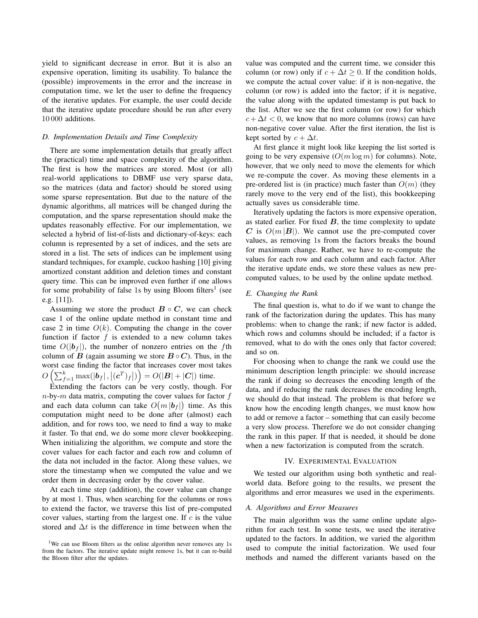yield to significant decrease in error. But it is also an expensive operation, limiting its usability. To balance the (possible) improvements in the error and the increase in computation time, we let the user to define the frequency of the iterative updates. For example, the user could decide that the iterative update procedure should be run after every 10 000 additions.

### *D. Implementation Details and Time Complexity*

There are some implementation details that greatly affect the (practical) time and space complexity of the algorithm. The first is how the matrices are stored. Most (or all) real-world applications to DBMF use very sparse data, so the matrices (data and factor) should be stored using some sparse representation. But due to the nature of the dynamic algorithms, all matrices will be changed during the computation, and the sparse representation should make the updates reasonably effective. For our implementation, we selected a hybrid of list-of-lists and dictionary-of-keys: each column is represented by a set of indices, and the sets are stored in a list. The sets of indices can be implement using standard techniques, for example, cuckoo hashing [10] giving amortized constant addition and deletion times and constant query time. This can be improved even further if one allows for some probability of false 1s by using Bloom filters<sup>1</sup> (see e.g. [11]).

Assuming we store the product  $B \circ C$ , we can check case 1 of the online update method in constant time and case 2 in time  $O(k)$ . Computing the change in the cover function if factor  $f$  is extended to a new column takes time  $O(|b_f|)$ , the number of nonzero entries on the fth column of B (again assuming we store  $B \circ C$ ). Thus, in the worst case finding the factor that increases cover most takes  $O\left(\sum_{f=1}^k \max(|\bm{b}_f|, \left|(\bm{c}^T)_f\right|)\right) = O(|\bm{B}| + |\bm{C}|)$  time.

Extending the factors can be very costly, though. For  $n$ -by-m data matrix, computing the cover values for factor f and each data column can take  $O(m | \boldsymbol{b}_f|)$  time. As this computation might need to be done after (almost) each addition, and for rows too, we need to find a way to make it faster. To that end, we do some more clever bookkeeping. When initializing the algorithm, we compute and store the cover values for each factor and each row and column of the data not included in the factor. Along these values, we store the timestamp when we computed the value and we order them in decreasing order by the cover value.

At each time step (addition), the cover value can change by at most 1. Thus, when searching for the columns or rows to extend the factor, we traverse this list of pre-computed cover values, starting from the largest one. If  $c$  is the value stored and  $\Delta t$  is the difference in time between when the value was computed and the current time, we consider this column (or row) only if  $c + \Delta t \geq 0$ . If the condition holds, we compute the actual cover value: if it is non-negative, the column (or row) is added into the factor; if it is negative, the value along with the updated timestamp is put back to the list. After we see the first column (or row) for which  $c + \Delta t < 0$ , we know that no more columns (rows) can have non-negative cover value. After the first iteration, the list is kept sorted by  $c + \Delta t$ .

At first glance it might look like keeping the list sorted is going to be very expensive  $(O(m \log m))$  for columns). Note, however, that we only need to move the elements for which we re-compute the cover. As moving these elements in a pre-ordered list is (in practice) much faster than  $O(m)$  (they rarely move to the very end of the list), this bookkeeping actually saves us considerable time.

Iteratively updating the factors is more expensive operation, as stated earlier. For fixed  $B$ , the time complexity to update C is  $O(m |B|)$ . We cannot use the pre-computed cover values, as removing 1s from the factors breaks the bound for maximum change. Rather, we have to re-compute the values for each row and each column and each factor. After the iterative update ends, we store these values as new precomputed values, to be used by the online update method.

### *E. Changing the Rank*

The final question is, what to do if we want to change the rank of the factorization during the updates. This has many problems: when to change the rank; if new factor is added, which rows and columns should be included; if a factor is removed, what to do with the ones only that factor covered; and so on.

For choosing when to change the rank we could use the minimum description length principle: we should increase the rank if doing so decreases the encoding length of the data, and if reducing the rank decreases the encoding length, we should do that instead. The problem is that before we know how the encoding length changes, we must know how to add or remove a factor – something that can easily become a very slow process. Therefore we do not consider changing the rank in this paper. If that is needed, it should be done when a new factorization is computed from the scratch.

#### IV. EXPERIMENTAL EVALUATION

We tested our algorithm using both synthetic and realworld data. Before going to the results, we present the algorithms and error measures we used in the experiments.

### *A. Algorithms and Error Measures*

The main algorithm was the same online update algorithm for each test. In some tests, we used the iterative updated to the factors. In addition, we varied the algorithm used to compute the initial factorization. We used four methods and named the different variants based on the

<sup>&</sup>lt;sup>1</sup>We can use Bloom filters as the online algorithm never removes any 1s from the factors. The iterative update might remove 1s, but it can re-build the Bloom filter after the updates.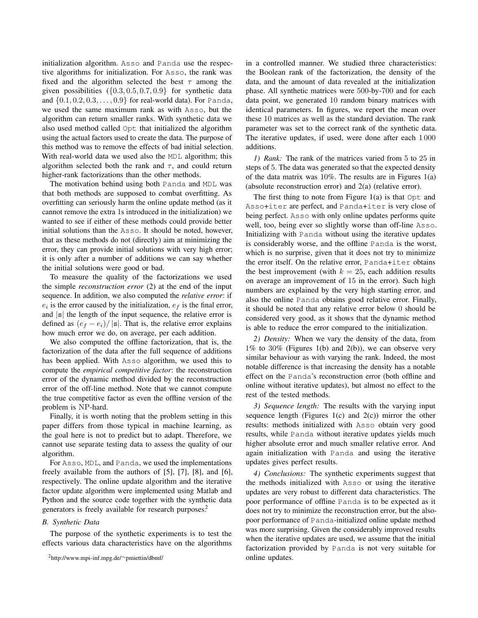initialization algorithm. Asso and Panda use the respective algorithms for initialization. For Asso, the rank was fixed and the algorithm selected the best  $\tau$  among the given possibilities  $({0.3, 0.5, 0.7, 0.9}$  for synthetic data and  $\{0.1, 0.2, 0.3, \ldots, 0.9\}$  for real-world data). For Panda, we used the same maximum rank as with Asso, but the algorithm can return smaller ranks. With synthetic data we also used method called Opt that initialized the algorithm using the actual factors used to create the data. The purpose of this method was to remove the effects of bad initial selection. With real-world data we used also the MDL algorithm; this algorithm selected both the rank and  $\tau$ , and could return higher-rank factorizations than the other methods.

The motivation behind using both Panda and MDL was that both methods are supposed to combat overfitting. As overfitting can seriously harm the online update method (as it cannot remove the extra 1s introduced in the initialization) we wanted to see if either of these methods could provide better initial solutions than the Asso. It should be noted, however, that as these methods do not (directly) aim at minimizing the error, they can provide initial solutions with very high error; it is only after a number of additions we can say whether the initial solutions were good or bad.

To measure the quality of the factorizations we used the simple *reconstruction error* (2) at the end of the input sequence. In addition, we also computed the *relative error*: if  $e_i$  is the error caused by the initialization,  $e_f$  is the final error, and  $|s|$  the length of the input sequence, the relative error is defined as  $(e_f - e_i)/|\mathbf{s}|$ . That is, the relative error explains how much error we do, on average, per each addition.

We also computed the offline factorization, that is, the factorization of the data after the full sequence of additions has been applied. With Asso algorithm, we used this to compute the *empirical competitive factor*: the reconstruction error of the dynamic method divided by the reconstruction error of the off-line method. Note that we cannot compute the true competitive factor as even the offline version of the problem is NP-hard.

Finally, it is worth noting that the problem setting in this paper differs from those typical in machine learning, as the goal here is not to predict but to adapt. Therefore, we cannot use separate testing data to assess the quality of our algorithm.

For Asso, MDL, and Panda, we used the implementations freely available from the authors of [5], [7], [8], and [6], respectively. The online update algorithm and the iterative factor update algorithm were implemented using Matlab and Python and the source code together with the synthetic data generators is freely available for research purposes.<sup>2</sup>

## *B. Synthetic Data*

The purpose of the synthetic experiments is to test the effects various data characteristics have on the algorithms in a controlled manner. We studied three characteristics: the Boolean rank of the factorization, the density of the data, and the amount of data revealed at the initialization phase. All synthetic matrices were 500-by-700 and for each data point, we generated 10 random binary matrices with identical parameters. In figures, we report the mean over these 10 matrices as well as the standard deviation. The rank parameter was set to the correct rank of the synthetic data. The iterative updates, if used, were done after each 1 000 additions.

*1) Rank:* The rank of the matrices varied from 5 to 25 in steps of 5. The data was generated so that the expected density of the data matrix was  $10\%$ . The results are in Figures  $1(a)$ (absolute reconstruction error) and 2(a) (relative error).

The first thing to note from Figure  $1(a)$  is that  $Opt$  and Asso+iter are perfect, and Panda+iter is very close of being perfect. Asso with only online updates performs quite well, too, being ever so slightly worse than off-line Asso. Initializing with Panda without using the iterative updates is considerably worse, and the offline Panda is the worst, which is no surprise, given that it does not try to minimize the error itself. On the relative error, Panda+iter obtains the best improvement (with  $k = 25$ , each addition results on average an improvement of 15 in the error). Such high numbers are explained by the very high starting error, and also the online Panda obtains good relative error. Finally, it should be noted that any relative error below 0 should be considered very good, as it shows that the dynamic method is able to reduce the error compared to the initialization.

*2) Density:* When we vary the density of the data, from  $1\%$  to  $30\%$  (Figures 1(b) and 2(b)), we can observe very similar behaviour as with varying the rank. Indeed, the most notable difference is that increasing the density has a notable effect on the Panda's reconstruction error (both offline and online without iterative updates), but almost no effect to the rest of the tested methods.

*3) Sequence length:* The results with the varying input sequence length (Figures 1(c) and  $2(c)$ ) mirror the other results: methods initialized with Asso obtain very good results, while Panda without iterative updates yields much higher absolute error and much smaller relative error. And again initialization with Panda and using the iterative updates gives perfect results.

*4) Conclusions:* The synthetic experiments suggest that the methods initialized with Asso or using the iterative updates are very robust to different data characteristics. The poor performance of offline Panda is to be expected as it does not try to minimize the reconstruction error, but the alsopoor performance of Panda-initialized online update method was more surprising. Given the considerably improved results when the iterative updates are used, we assume that the initial factorization provided by Panda is not very suitable for online updates.

<sup>2</sup>http://www.mpi-inf.mpg.de/∼pmiettin/dbmf/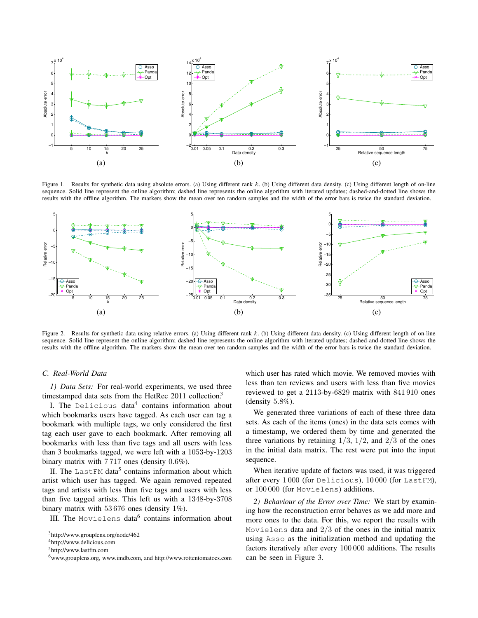

Figure 1. Results for synthetic data using absolute errors. (a) Using different rank  $k$ . (b) Using different data density. (c) Using different length of on-line sequence. Solid line represent the online algorithm; dashed line represents the online algorithm with iterated updates; dashed-and-dotted line shows the results with the offline algorithm. The markers show the mean over ten random samples and the width of the error bars is twice the standard deviation.



Figure 2. Results for synthetic data using relative errors. (a) Using different rank  $k$ . (b) Using different data density. (c) Using different length of on-line sequence. Solid line represent the online algorithm; dashed line represents the online algorithm with iterated updates; dashed-and-dotted line shows the results with the offline algorithm. The markers show the mean over ten random samples and the width of the error bars is twice the standard deviation.

## *C. Real-World Data*

*1) Data Sets:* For real-world experiments, we used three timestamped data sets from the HetRec 2011 collection.<sup>3</sup>

I. The <code>Delicious</code> data $^4$  contains information about which bookmarks users have tagged. As each user can tag a bookmark with multiple tags, we only considered the first tag each user gave to each bookmark. After removing all bookmarks with less than five tags and all users with less than 3 bookmarks tagged, we were left with a 1053-by-1203 binary matrix with 7 717 ones (density 0.6%).

II. The LastFM data<sup>5</sup> contains information about which artist which user has tagged. We again removed repeated tags and artists with less than five tags and users with less than five tagged artists. This left us with a 1348-by-3708 binary matrix with 53 676 ones (density 1%).

 $\,$  III. The <code>Movielens</code> data $^6$  contains information about

which user has rated which movie. We removed movies with less than ten reviews and users with less than five movies reviewed to get a 2113-by-6829 matrix with 841 910 ones (density 5.8%).

We generated three variations of each of these three data sets. As each of the items (ones) in the data sets comes with a timestamp, we ordered them by time and generated the three variations by retaining  $1/3$ ,  $1/2$ , and  $2/3$  of the ones in the initial data matrix. The rest were put into the input sequence.

When iterative update of factors was used, it was triggered after every 1 000 (for Delicious), 10 000 (for LastFM), or 100 000 (for Movielens) additions.

*2) Behaviour of the Error over Time:* We start by examining how the reconstruction error behaves as we add more and more ones to the data. For this, we report the results with Movielens data and  $2/3$  of the ones in the initial matrix using Asso as the initialization method and updating the factors iteratively after every 100 000 additions. The results can be seen in Figure 3.

<sup>3</sup>http://www.grouplens.org/node/462

<sup>4</sup>http://www.delicious.com

<sup>5</sup>http://www.lastfm.com

<sup>6</sup>www.grouplens.org, www.imdb.com, and http://www.rottentomatoes.com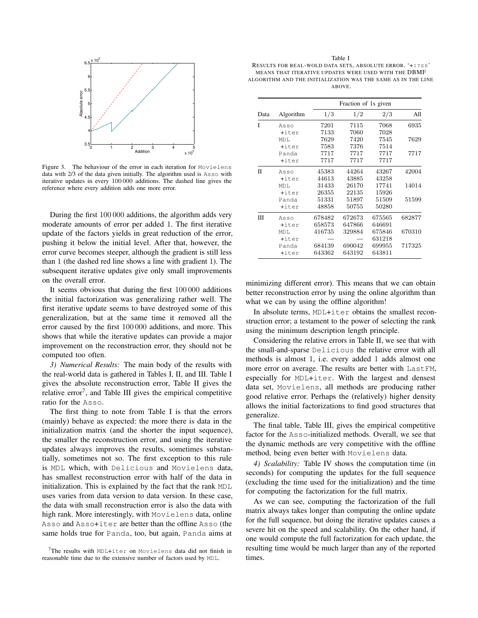

Figure 3. The behaviour of the error in each iteration for Movielens data with 2/3 of the data given initially. The algorithm used is Asso with iterative updates in every 100 000 additions. The dashed line gives the reference where every addition adds one more error.

During the first 100 000 additions, the algorithm adds very moderate amounts of error per added 1. The first iterative update of the factors yields in great reduction of the error, pushing it below the initial level. After that, however, the error curve becomes steeper, although the gradient is still less than 1 (the dashed red line shows a line with gradient 1). The subsequent iterative updates give only small improvements on the overall error.

It seems obvious that during the first 100 000 additions the initial factorization was generalizing rather well. The first iterative update seems to have destroyed some of this generalization, but at the same time it removed all the error caused by the first 100 000 additions, and more. This shows that while the iterative updates can provide a major improvement on the reconstruction error, they should not be computed too often.

*3) Numerical Results:* The main body of the results with the real-world data is gathered in Tables I, II, and III. Table I gives the absolute reconstruction error, Table II gives the relative error<sup>7</sup>, and Table III gives the empirical competitive ratio for the Asso.

The first thing to note from Table I is that the errors (mainly) behave as expected: the more there is data in the initialization matrix (and the shorter the input sequence), the smaller the reconstruction error, and using the iterative updates always improves the results, sometimes substantially, sometimes not so. The first exception to this rule is MDL which, with Delicious and Movielens data, has smallest reconstruction error with half of the data in initialization. This is explained by the fact that the rank MDL uses varies from data version to data version. In these case, the data with small reconstruction error is also the data with high rank. More interestingly, with Movielens data, online Asso and Asso+iter are better than the offline Asso (the same holds true for Panda, too, but again, Panda aims at

Table I RESULTS FOR REAL-WOLD DATA SETS, ABSOLUTE ERROR. '+ITER' MEANS THAT ITERATIVE UPDATES WERE USED WITH THE DBMF ALGORITHM AND THE INITIALIZATION WAS THE SAME AS IN THE LINE ABOVE.

|      |           | Fraction of 1s given |        |        |        |  |
|------|-----------|----------------------|--------|--------|--------|--|
| Data | Algorithm | 1/3                  | 1/2    | 2/3    | All    |  |
| I    | Asso      | 7201                 | 7115   | 7068   | 6935   |  |
|      | +iter     | 7133                 | 7060   | 7028   |        |  |
|      | MDT.      | 7629                 | 7420   | 7545   | 7629   |  |
|      | +iter     | 7583                 | 7376   | 7514   |        |  |
|      | Panda     | 7717                 | 7717   | 7717   | 7717   |  |
|      | +iter     | 7717                 | 7717   | 7717   |        |  |
| П    | Asso      | 45383                | 44264  | 43267  | 42004  |  |
|      | +iter     | 44613                | 43885  | 43258  |        |  |
|      | MDT.      | 31433                | 26170  | 17741  | 14014  |  |
|      | +iter     | 26355                | 22135  | 15926  |        |  |
|      | Panda     | 51331                | 51897  | 51509  | 51599  |  |
|      | +iter     | 48858                | 50755  | 50280  |        |  |
| Ш    | Asso      | 678482               | 672673 | 675565 | 682877 |  |
|      | +iter     | 658573               | 647866 | 646691 |        |  |
|      | MDT.      | 416735               | 329884 | 675846 | 670310 |  |
|      | +iter     |                      |        | 631218 |        |  |
|      | Panda     | 684139               | 690042 | 699955 | 717325 |  |
|      | +iter     | 643362               | 643192 | 643811 |        |  |

minimizing different error). This means that we can obtain better reconstruction error by using the online algorithm than what we can by using the offline algorithm!

In absolute terms, MDL+iter obtains the smallest reconstruction error; a testament to the power of selecting the rank using the minimum description length principle.

Considering the relative errors in Table II, we see that with the small-and-sparse Delicious the relative error with all methods is almost 1, i.e. every added 1 adds almost one more error on average. The results are better with LastFM, especially for MDL+iter. With the largest and densest data set, Movielens, all methods are producing rather good relative error. Perhaps the (relatively) higher density allows the initial factorizations to find good structures that generalize.

The final table, Table III, gives the empirical competitive factor for the Asso-initialized methods. Overall, we see that the dynamic methods are very competitive with the offline method, being even better with Movielens data.

*4) Scalability:* Table IV shows the computation time (in seconds) for computing the updates for the full sequence (excluding the time used for the initialization) and the time for computing the factorization for the full matrix.

As we can see, computing the factorization of the full matrix always takes longer than computing the online update for the full sequence, but doing the iterative updates causes a severe hit on the speed and scalability. On the other hand, if one would compute the full factorization for each update, the resulting time would be much larger than any of the reported times.

<sup>7</sup>The results with MDL+iter on Movielens data did not finish in reasonable time due to the extensive number of factors used by MDL.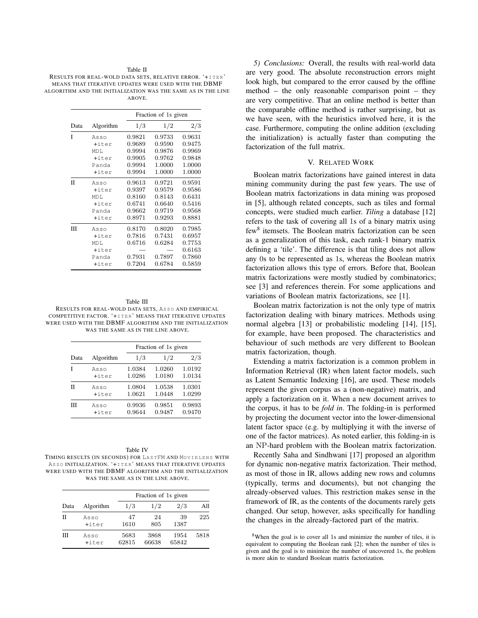#### Table II

RESULTS FOR REAL-WOLD DATA SETS, RELATIVE ERROR. '+ITER' MEANS THAT ITERATIVE UPDATES WERE USED WITH THE DBMF ALGORITHM AND THE INITIALIZATION WAS THE SAME AS IN THE LINE ABOVE.

|      |           | Fraction of 1s given |        |        |  |
|------|-----------|----------------------|--------|--------|--|
| Data | Algorithm | 1/3                  | 1/2    | 2/3    |  |
| I    | Asso      | 0.9821               | 0.9733 | 0.9631 |  |
|      | +iter     | 0.9689               | 0.9590 | 0.9475 |  |
|      | MDT.      | 0.9994               | 0.9876 | 0.9969 |  |
|      | +iter     | 0.9905               | 0.9762 | 0.9848 |  |
|      | Panda     | 0.9994               | 1.0000 | 1.0000 |  |
|      | +iter     | 0.9994               | 1.0000 | 1.0000 |  |
| П    | Asso      | 0.9613               | 0.9721 | 0.9591 |  |
|      | +iter     | 0.9397               | 0.9579 | 0.9586 |  |
|      | MDL       | 0.8160               | 0.8143 | 0.6431 |  |
|      | +iter     | 0.6741               | 0.6640 | 0.5416 |  |
|      | Panda     | 0.9662               | 0.9719 | 0.9568 |  |
|      | +iter     | 0.8971               | 0.9293 | 0.8881 |  |
| Ш    | Asso      | 0.8170               | 0.8020 | 0.7985 |  |
|      | +iter     | 0.7816               | 0.7431 | 0.6957 |  |
|      | MDT.      | 0.6716               | 0.6284 | 0.7753 |  |
|      | +iter     |                      |        | 0.6163 |  |
|      | Panda     | 0.7931               | 0.7897 | 0.7860 |  |
|      | +iter     | 0.7204               | 0.6784 | 0.5859 |  |

#### Table III RESULTS FOR REAL-WOLD DATA SETS, AS SO AND EMPIRICAL COMPETITIVE FACTOR. '+I T E R' MEANS THAT ITERATIVE UPDATES WERE USED WITH THE DBMF ALGORITHM AND THE INITIALIZATION

WAS THE SAME AS IN THE LINE ABOVE.

|      |           | Fraction of 1s given |        |        |  |
|------|-----------|----------------------|--------|--------|--|
| Data | Algorithm | 1/3                  | 1/2    | 2/3    |  |
|      | Asso      | 1.0384               | 1.0260 | 1.0192 |  |
|      | +iter     | 1.0286               | 1.0180 | 1.0134 |  |
| П    | Asso      | 1.0804               | 1.0538 | 1.0301 |  |
|      | +iter     | 1.0621               | 1.0448 | 1.0299 |  |
| ш    | Asso      | 0.9936               | 0.9851 | 0.9893 |  |
|      | +iter     | 0.9644               | 0.9487 | 0.9470 |  |

#### Table IV TIMING RESULTS (IN SECONDS) FOR LASTFM AND MOVIELENS WITH ASSO INITIALIZATION. '+ITER' MEANS THAT ITERATIVE UPDATES WERE USED WITH THE DBMF ALGORITHM AND THE INITIALIZATION WAS THE SAME AS IN THE LINE ABOVE.

| Data |               | Fraction of 1s given |               |               |      |
|------|---------------|----------------------|---------------|---------------|------|
|      | Algorithm     | 1/3                  | 1/2           | 2/3           | All  |
| Н    | Asso<br>+iter | 47<br>1610           | 24<br>805     | 39<br>1387    | 225  |
| Ш    | Asso<br>+iter | 5683<br>62815        | 3868<br>66638 | 1954<br>65842 | 5818 |

*5) Conclusions:* Overall, the results with real-world data are very good. The absolute reconstruction errors might look high, but compared to the error caused by the offline method – the only reasonable comparison point – they are very competitive. That an online method is better than the comparable offline method is rather surprising, but as we have seen, with the heuristics involved here, it is the case. Furthermore, computing the online addition (excluding the initialization) is actually faster than computing the factorization of the full matrix.

### V. RELATED WORK

Boolean matrix factorizations have gained interest in data mining community during the past few years. The use of Boolean matrix factorizations in data mining was proposed in [5], although related concepts, such as tiles and formal concepts, were studied much earlier. *Tiling* a database [12] refers to the task of covering all 1s of a binary matrix using few<sup>8</sup> itemsets. The Boolean matrix factorization can be seen as a generalization of this task, each rank-1 binary matrix defining a 'tile'. The difference is that tiling does not allow any 0s to be represented as 1s, whereas the Boolean matrix factorization allows this type of errors. Before that, Boolean matrix factorizations were mostly studied by combinatorics; see [3] and references therein. For some applications and variations of Boolean matrix factorizations, see [1].

Boolean matrix factorization is not the only type of matrix factorization dealing with binary matrices. Methods using normal algebra [13] or probabilistic modeling [14], [15], for example, have been proposed. The characteristics and behaviour of such methods are very different to Boolean matrix factorization, though.

Extending a matrix factorization is a common problem in Information Retrieval (IR) when latent factor models, such as Latent Semantic Indexing [16], are used. These models represent the given corpus as a (non-negative) matrix, and apply a factorization on it. When a new document arrives to the corpus, it has to be *fold in*. The folding-in is performed by projecting the document vector into the lower-dimensional latent factor space (e.g. by multiplying it with the inverse of one of the factor matrices). As noted earlier, this folding-in is an NP-hard problem with the Boolean matrix factorization.

Recently Saha and Sindhwani [17] proposed an algorithm for dynamic non-negative matrix factorization. Their method, as most of those in IR, allows adding new rows and columns (typically, terms and documents), but not changing the already-observed values. This restriction makes sense in the framework of IR, as the contents of the documents rarely gets changed. Our setup, however, asks specifically for handling the changes in the already-factored part of the matrix.

<sup>8</sup>When the goal is to cover all 1s and minimize the number of tiles, it is equivalent to computing the Boolean rank [2]; when the number of tiles is given and the goal is to minimize the number of uncovered 1s, the problem is more akin to standard Boolean matrix factorization.